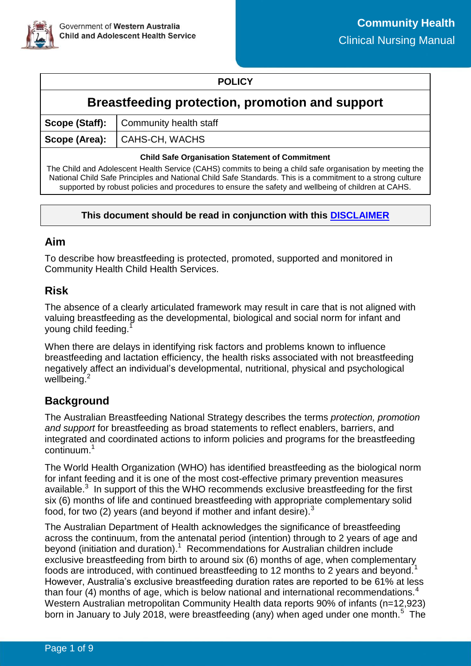

### **POLICY**

# **Breastfeeding protection, promotion and support**

| Scope (Staff):   Community health staff |
|-----------------------------------------|
| Scope (Area): CAHS-CH, WACHS            |

#### **Child Safe Organisation Statement of Commitment**

The Child and Adolescent Health Service (CAHS) commits to being a child safe organisation by meeting the National Child Safe Principles and National Child Safe Standards. This is a commitment to a strong culture supported by robust policies and procedures to ensure the safety and wellbeing of children at CAHS.

#### **This document should be read in conjunction with this [DISCLAIMER](https://healthpoint.hdwa.health.wa.gov.au/policies/Policies/CAHS/CAHS.PM.ClinicalDisclaimer.pdf)**

### **Aim**

To describe how breastfeeding is protected, promoted, supported and monitored in Community Health Child Health Services.

### **Risk**

The absence of a clearly articulated framework may result in care that is not aligned with valuing breastfeeding as the developmental, biological and social norm for infant and young child feeding.<sup>1</sup>

When there are delays in identifying risk factors and problems known to influence breastfeeding and lactation efficiency, the health risks associated with not breastfeeding negatively affect an individual's developmental, nutritional, physical and psychological wellbeing.<sup>2</sup>

# **Background**

The Australian Breastfeeding National Strategy describes the terms *protection, promotion and support* for breastfeeding as broad statements to reflect enablers, barriers, and integrated and coordinated actions to inform policies and programs for the breastfeeding continuum.<sup>1</sup>

The World Health Organization (WHO) has identified breastfeeding as the biological norm for infant feeding and it is one of the most cost-effective primary prevention measures available.<sup>3</sup> In support of this the WHO recommends exclusive breastfeeding for the first six (6) months of life and continued breastfeeding with appropriate complementary solid food, for two (2) years (and beyond if mother and infant desire).<sup>3</sup>

The Australian Department of Health acknowledges the significance of breastfeeding across the continuum, from the antenatal period (intention) through to 2 years of age and beyond (initiation and duration).<sup>1</sup> Recommendations for Australian children include exclusive breastfeeding from birth to around six (6) months of age, when complementary foods are introduced, with continued breastfeeding to 12 months to 2 years and beyond.<sup>1</sup> However, Australia's exclusive breastfeeding duration rates are reported to be 61% at less than four (4) months of age, which is below national and international recommendations.<sup>4</sup> Western Australian metropolitan Community Health data reports 90% of infants (n=12,923) born in January to July 2018, were breastfeeding (any) when aged under one month.<sup>5</sup> The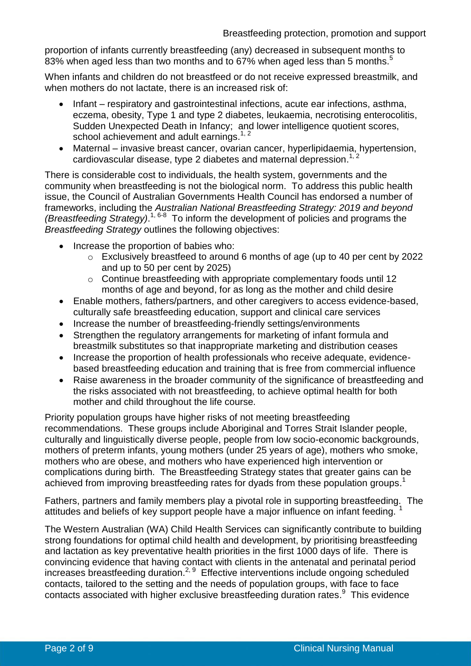proportion of infants currently breastfeeding (any) decreased in subsequent months to 83% when aged less than two months and to 67% when aged less than 5 months.<sup>5</sup>

When infants and children do not breastfeed or do not receive expressed breastmilk, and when mothers do not lactate, there is an increased risk of:

- Infant respiratory and gastrointestinal infections, acute ear infections, asthma, eczema, obesity, Type 1 and type 2 diabetes, leukaemia, necrotising enterocolitis, Sudden Unexpected Death in Infancy; and lower intelligence quotient scores, school achievement and adult earnings.<sup>1, 2</sup>
- Maternal invasive breast cancer, ovarian cancer, hyperlipidaemia, hypertension, cardiovascular disease, type 2 diabetes and maternal depression.<sup>1, 2</sup>

There is considerable cost to individuals, the health system, governments and the community when breastfeeding is not the biological norm. To address this public health issue, the Council of Australian Governments Health Council has endorsed a number of frameworks, including the *Australian National Breastfeeding Strategy: 2019 and beyond (Breastfeeding Strategy)*. 1, 6-8 To inform the development of policies and programs the *Breastfeeding Strategy* outlines the following objectives:

- Increase the proportion of babies who:
	- o Exclusively breastfeed to around 6 months of age (up to 40 per cent by 2022 and up to 50 per cent by 2025)
	- o Continue breastfeeding with appropriate complementary foods until 12 months of age and beyond, for as long as the mother and child desire
- Enable mothers, fathers/partners, and other caregivers to access evidence-based, culturally safe breastfeeding education, support and clinical care services
- Increase the number of breastfeeding-friendly settings/environments
- Strengthen the regulatory arrangements for marketing of infant formula and breastmilk substitutes so that inappropriate marketing and distribution ceases
- Increase the proportion of health professionals who receive adequate, evidencebased breastfeeding education and training that is free from commercial influence
- Raise awareness in the broader community of the significance of breastfeeding and the risks associated with not breastfeeding, to achieve optimal health for both mother and child throughout the life course.

Priority population groups have higher risks of not meeting breastfeeding recommendations. These groups include Aboriginal and Torres Strait Islander people, culturally and linguistically diverse people, people from low socio-economic backgrounds, mothers of preterm infants, young mothers (under 25 years of age), mothers who smoke, mothers who are obese, and mothers who have experienced high intervention or complications during birth. The Breastfeeding Strategy states that greater gains can be achieved from improving breastfeeding rates for dyads from these population groups.<sup>1</sup>

Fathers, partners and family members play a pivotal role in supporting breastfeeding. The attitudes and beliefs of key support people have a major influence on infant feeding. <sup>1</sup>

The Western Australian (WA) Child Health Services can significantly contribute to building strong foundations for optimal child health and development, by prioritising breastfeeding and lactation as key preventative health priorities in the first 1000 days of life. There is convincing evidence that having contact with clients in the antenatal and perinatal period increases breastfeeding duration.<sup>2, 9</sup> Effective interventions include ongoing scheduled contacts, tailored to the setting and the needs of population groups, with face to face contacts associated with higher exclusive breastfeeding duration rates.<sup>9</sup> This evidence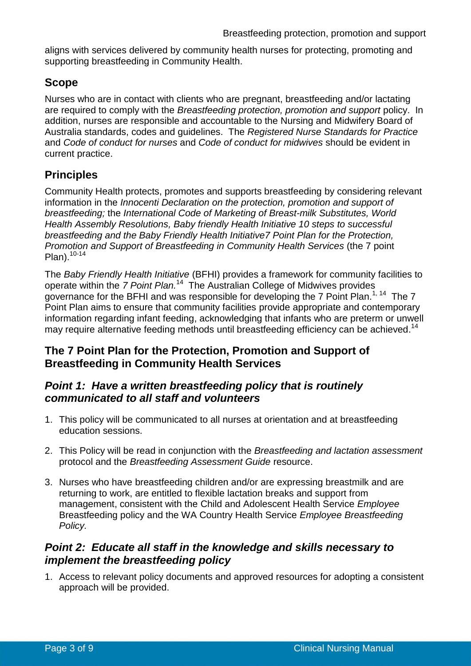aligns with services delivered by community health nurses for protecting, promoting and supporting breastfeeding in Community Health.

# **Scope**

Nurses who are in contact with clients who are pregnant, breastfeeding and/or lactating are required to comply with the *Breastfeeding protection, promotion and support* policy. In addition, nurses are responsible and accountable to the Nursing and Midwifery Board of Australia standards, codes and guidelines. The *Registered Nurse Standards for Practice*  and *Code of conduct for nurses* and *Code of conduct for midwives* should be evident in current practice.

# **Principles**

Community Health protects, promotes and supports breastfeeding by considering relevant information in the *Innocenti Declaration on the protection, promotion and support of breastfeeding;* the *International Code of Marketing of Breast-milk Substitutes, World Health Assembly Resolutions, Baby friendly Health Initiative 10 steps to successful breastfeeding and the Baby Friendly Health Initiative7 Point Plan for the Protection, Promotion and Support of Breastfeeding in Community Health Services* (the 7 point  $Plan).<sup>10-14</sup>$ 

The *Baby Friendly Health Initiative* (BFHI) provides a framework for community facilities to operate within the *7 Point Plan*.<sup>14</sup> The Australian College of Midwives provides governance for the BFHI and was responsible for developing the 7 Point Plan.<sup>1, 14</sup> The 7 Point Plan aims to ensure that community facilities provide appropriate and contemporary information regarding infant feeding, acknowledging that infants who are preterm or unwell may require alternative feeding methods until breastfeeding efficiency can be achieved.<sup>14</sup>

# **The 7 Point Plan for the Protection, Promotion and Support of Breastfeeding in Community Health Services**

### *Point 1: Have a written breastfeeding policy that is routinely communicated to all staff and volunteers*

- 1. This policy will be communicated to all nurses at orientation and at breastfeeding education sessions.
- 2. This Policy will be read in conjunction with the *Breastfeeding and lactation assessment*  protocol and the *Breastfeeding Assessment Guide* resource.
- 3. Nurses who have breastfeeding children and/or are expressing breastmilk and are returning to work, are entitled to flexible lactation breaks and support from management, consistent with the Child and Adolescent Health Service *Employee*  Breastfeeding policy and the WA Country Health Service *Employee Breastfeeding Policy.*

### *Point 2: Educate all staff in the knowledge and skills necessary to implement the breastfeeding policy*

1. Access to relevant policy documents and approved resources for adopting a consistent approach will be provided.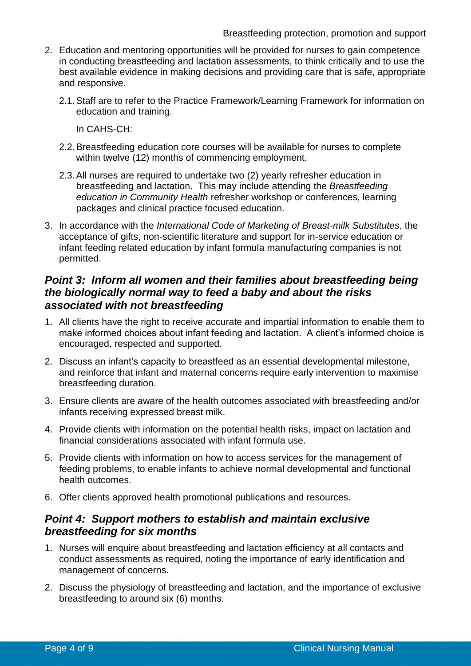- 2. Education and mentoring opportunities will be provided for nurses to gain competence in conducting breastfeeding and lactation assessments, to think critically and to use the best available evidence in making decisions and providing care that is safe, appropriate and responsive.
	- 2.1. Staff are to refer to the Practice Framework/Learning Framework for information on education and training.

In CAHS-CH:

- 2.2. Breastfeeding education core courses will be available for nurses to complete within twelve (12) months of commencing employment.
- 2.3. All nurses are required to undertake two (2) yearly refresher education in breastfeeding and lactation. This may include attending the *Breastfeeding education in Community Health* refresher workshop or conferences, learning packages and clinical practice focused education.
- 3. In accordance with the *International Code of Marketing of Breast-milk Substitutes*, the acceptance of gifts, non-scientific literature and support for in-service education or infant feeding related education by infant formula manufacturing companies is not permitted.

### *Point 3: Inform all women and their families about breastfeeding being the biologically normal way to feed a baby and about the risks associated with not breastfeeding*

- 1. All clients have the right to receive accurate and impartial information to enable them to make informed choices about infant feeding and lactation. A client's informed choice is encouraged, respected and supported.
- 2. Discuss an infant's capacity to breastfeed as an essential developmental milestone, and reinforce that infant and maternal concerns require early intervention to maximise breastfeeding duration.
- 3. Ensure clients are aware of the health outcomes associated with breastfeeding and/or infants receiving expressed breast milk.
- 4. Provide clients with information on the potential health risks, impact on lactation and financial considerations associated with infant formula use.
- 5. Provide clients with information on how to access services for the management of feeding problems, to enable infants to achieve normal developmental and functional health outcomes.
- 6. Offer clients approved health promotional publications and resources.

#### *Point 4: Support mothers to establish and maintain exclusive breastfeeding for six months*

- 1. Nurses will enquire about breastfeeding and lactation efficiency at all contacts and conduct assessments as required, noting the importance of early identification and management of concerns.
- 2. Discuss the physiology of breastfeeding and lactation, and the importance of exclusive breastfeeding to around six (6) months.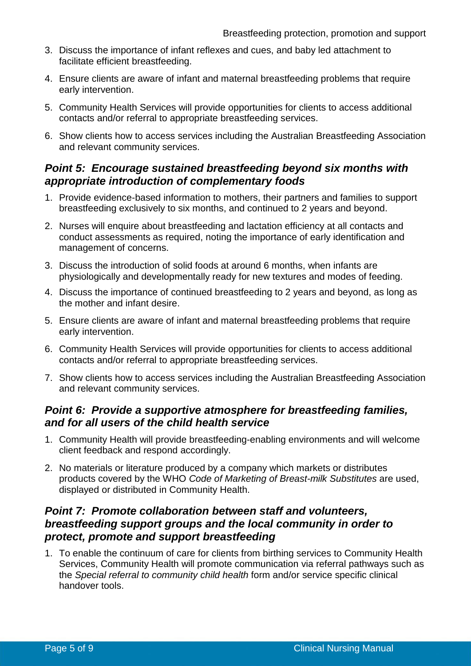- 3. Discuss the importance of infant reflexes and cues, and baby led attachment to facilitate efficient breastfeeding.
- 4. Ensure clients are aware of infant and maternal breastfeeding problems that require early intervention.
- 5. Community Health Services will provide opportunities for clients to access additional contacts and/or referral to appropriate breastfeeding services.
- 6. Show clients how to access services including the Australian Breastfeeding Association and relevant community services.

### *Point 5: Encourage sustained breastfeeding beyond six months with appropriate introduction of complementary foods*

- 1. Provide evidence-based information to mothers, their partners and families to support breastfeeding exclusively to six months, and continued to 2 years and beyond.
- 2. Nurses will enquire about breastfeeding and lactation efficiency at all contacts and conduct assessments as required, noting the importance of early identification and management of concerns.
- 3. Discuss the introduction of solid foods at around 6 months, when infants are physiologically and developmentally ready for new textures and modes of feeding.
- 4. Discuss the importance of continued breastfeeding to 2 years and beyond, as long as the mother and infant desire.
- 5. Ensure clients are aware of infant and maternal breastfeeding problems that require early intervention.
- 6. Community Health Services will provide opportunities for clients to access additional contacts and/or referral to appropriate breastfeeding services.
- 7. Show clients how to access services including the Australian Breastfeeding Association and relevant community services.

#### *Point 6: Provide a supportive atmosphere for breastfeeding families, and for all users of the child health service*

- 1. Community Health will provide breastfeeding-enabling environments and will welcome client feedback and respond accordingly.
- 2. No materials or literature produced by a company which markets or distributes products covered by the WHO *Code of Marketing of Breast-milk Substitutes* are used, displayed or distributed in Community Health.

### *Point 7: Promote collaboration between staff and volunteers, breastfeeding support groups and the local community in order to protect, promote and support breastfeeding*

1. To enable the continuum of care for clients from birthing services to Community Health Services, Community Health will promote communication via referral pathways such as the *Special referral to community child health* form and/or service specific clinical handover tools.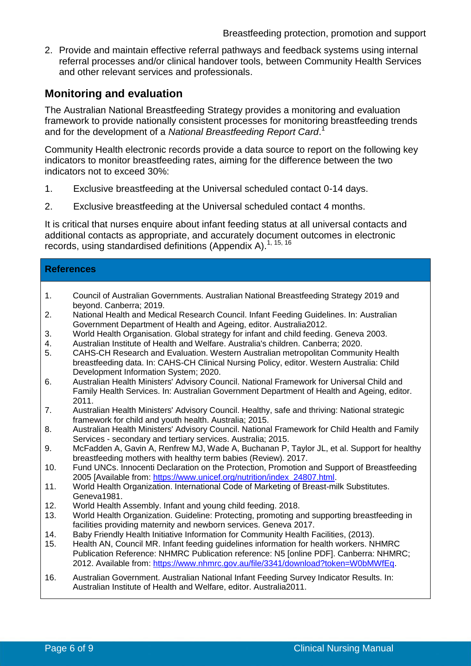2. Provide and maintain effective referral pathways and feedback systems using internal referral processes and/or clinical handover tools, between Community Health Services and other relevant services and professionals.

### **Monitoring and evaluation**

The Australian National Breastfeeding Strategy provides a monitoring and evaluation framework to provide nationally consistent processes for monitoring breastfeeding trends and for the development of a *National Breastfeeding Report Card*. 1

Community Health electronic records provide a data source to report on the following key indicators to monitor breastfeeding rates, aiming for the difference between the two indicators not to exceed 30%:

- 1. Exclusive breastfeeding at the Universal scheduled contact 0-14 days.
- 2. Exclusive breastfeeding at the Universal scheduled contact 4 months.

It is critical that nurses enquire about infant feeding status at all universal contacts and additional contacts as appropriate, and accurately document outcomes in electronic records, using standardised definitions (Appendix A).<sup>1, 15, 16</sup>

#### **References**

- 1. Council of Australian Governments. Australian National Breastfeeding Strategy 2019 and beyond. Canberra; 2019.
- 2. National Health and Medical Research Council. Infant Feeding Guidelines. In: Australian Government Department of Health and Ageing, editor. Australia2012.
- 3. World Health Organisation. Global strategy for infant and child feeding. Geneva 2003.
- 4. Australian Institute of Health and Welfare. Australia's children. Canberra; 2020.
- 5. CAHS-CH Research and Evaluation. Western Australian metropolitan Community Health breastfeeding data. In: CAHS-CH Clinical Nursing Policy, editor. Western Australia: Child Development Information System; 2020.
- 6. Australian Health Ministers' Advisory Council. National Framework for Universal Child and Family Health Services. In: Australian Government Department of Health and Ageing, editor. 2011.
- 7. Australian Health Ministers' Advisory Council. Healthy, safe and thriving: National strategic framework for child and youth health. Australia; 2015.
- 8. Australian Health Ministers' Advisory Council. National Framework for Child Health and Family Services - secondary and tertiary services. Australia; 2015.
- 9. McFadden A, Gavin A, Renfrew MJ, Wade A, Buchanan P, Taylor JL, et al. Support for healthy breastfeeding mothers with healthy term babies (Review). 2017.
- 10. Fund UNCs. Innocenti Declaration on the Protection, Promotion and Support of Breastfeeding 2005 [Available from: [https://www.unicef.org/nutrition/index\\_24807.html.](https://www.unicef.org/nutrition/index_24807.html)
- 11. World Health Organization. International Code of Marketing of Breast-milk Substitutes. Geneva1981.
- 12. World Health Assembly. Infant and young child feeding. 2018.
- 13. World Health Organization. Guideline: Protecting, promoting and supporting breastfeeding in facilities providing maternity and newborn services. Geneva 2017.
- 14. Baby Friendly Health Initiative Information for Community Health Facilities, (2013).
- 15. Health AN, Council MR. Infant feeding guidelines information for health workers. NHMRC Publication Reference: NHMRC Publication reference: N5 [online PDF]. Canberra: NHMRC; 2012. Available from: [https://www.nhmrc.gov.au/file/3341/download?token=W0bMWfEq.](https://www.nhmrc.gov.au/file/3341/download?token=W0bMWfEq)
- 16. Australian Government. Australian National Infant Feeding Survey Indicator Results. In: Australian Institute of Health and Welfare, editor. Australia2011.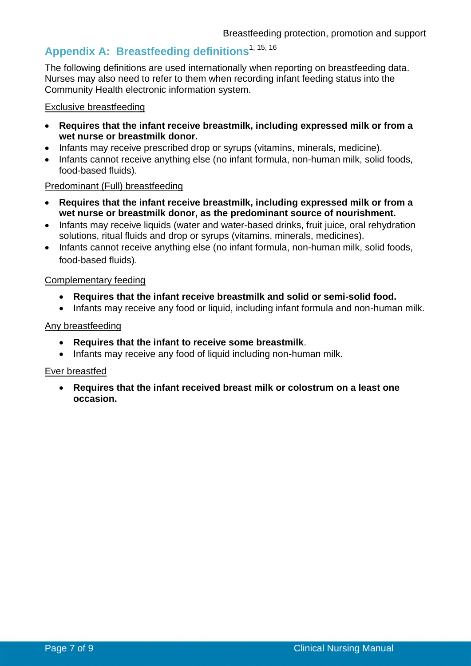# **Appendix A: Breastfeeding definitions**1, 15, 16

The following definitions are used internationally when reporting on breastfeeding data. Nurses may also need to refer to them when recording infant feeding status into the Community Health electronic information system.

#### Exclusive breastfeeding

- **Requires that the infant receive breastmilk, including expressed milk or from a wet nurse or breastmilk donor.**
- Infants may receive prescribed drop or syrups (vitamins, minerals, medicine).
- Infants cannot receive anything else (no infant formula, non-human milk, solid foods, food-based fluids).

#### Predominant (Full) breastfeeding

- **Requires that the infant receive breastmilk, including expressed milk or from a wet nurse or breastmilk donor, as the predominant source of nourishment.**
- Infants may receive liquids (water and water-based drinks, fruit juice, oral rehydration solutions, ritual fluids and drop or syrups (vitamins, minerals, medicines).
- Infants cannot receive anything else (no infant formula, non-human milk, solid foods, food-based fluids).

#### Complementary feeding

- **Requires that the infant receive breastmilk and solid or semi-solid food.**
- Infants may receive any food or liquid, including infant formula and non-human milk.

#### Any breastfeeding

- **Requires that the infant to receive some breastmilk**.
- Infants may receive any food of liquid including non-human milk.

#### Ever breastfed

 **Requires that the infant received breast milk or colostrum on a least one occasion.**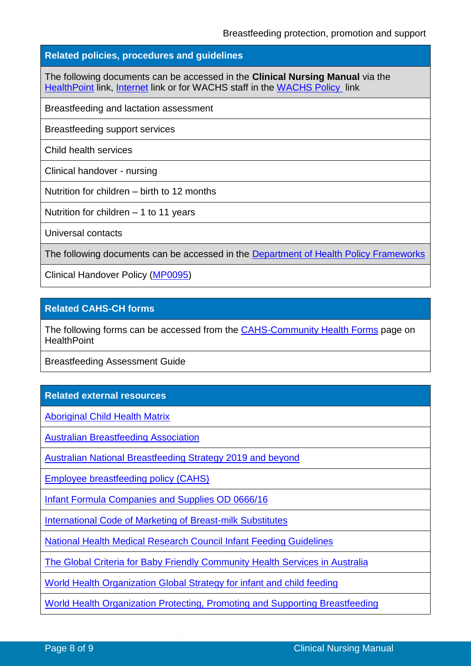#### **Related policies, procedures and guidelines**

The following documents can be accessed in the **Clinical Nursing Manual** via the [HealthPoint](https://healthpoint.hdwa.health.wa.gov.au/policies/Pages/CACH-Community-Health.aspx) link, [Internet](https://ww2.health.wa.gov.au/About-us/Child-and-Adolescent-Health-Service/Child-and-Adolescent-Community-Health/Professional-resources/Community-Health-Clinical-Nursing-Manual) link or for WACHS staff in the [WACHS Policy](https://healthpoint.hdwa.health.wa.gov.au/policies/Pages/WACHS%20Policy%20Pages/WACHS-Policies.aspx) link

Breastfeeding and lactation assessment

Breastfeeding support services

Child health services

Clinical handover - nursing

Nutrition for children – birth to 12 months

Nutrition for children – 1 to 11 years

Universal contacts

The following documents can be accessed in the [Department of Health Policy Frameworks](https://ww2.health.wa.gov.au/About-us/Policy-Frameworks)

Clinical Handover Policy [\(MP0095\)](https://ww2.health.wa.gov.au/About-us/Policy-frameworks/Clinical-Governance-Safety-and-Quality/Mandatory-requirements/Clinical-Handover-Policy)

#### **Related CAHS-CH forms**

The following forms can be accessed from the **[CAHS-Community Health Forms](https://cahs-healthpoint.hdwa.health.wa.gov.au/cach/forms/Pages/default.aspx)** page on **HealthPoint** 

Breastfeeding Assessment Guide

#### **Related external resources**

[Aboriginal Child Health Matrix](https://cahs.health.wa.gov.au/en/For-health-professionals/Resources/Aboriginal-Health-Matrix)

[Australian Breastfeeding Association](https://www.breastfeeding.asn.au/)

[Australian National Breastfeeding Strategy 2019 and beyond](http://www.coaghealthcouncil.gov.au/Publications/Reports)

[Employee breastfeeding](https://ww2.health.wa.gov.au/~/media/Files/Corporate/general%20documents/CAHS/WorkforcePolicies/EmployeeBreastfeeding.pdf) policy (CAHS)

[Infant Formula Companies and Supplies OD 0666/16](http://www.health.wa.gov.au/circularsnew/circular.cfm?Circ_ID=13304)

[International Code of Marketing of Breast-milk Substitutes](http://www.who.int/nutrition/publications/code_english.pdf)

[National Health Medical Research Council Infant Feeding Guidelines](https://www.eatforhealth.gov.au/sites/default/files/files/the_guidelines/n56_infant_feeding_guidelines_160822(1).pdf)

[The Global Criteria for Baby Friendly Community Health Services in Australia](https://www.midwives.org.au/sites/default/files/uploaded-content/website-content/BFHI/booklet_1_-_handbook.pdf)

[World Health Organization Global Strategy for infant and child feeding](http://apps.who.int/iris/bitstream/10665/42590/1/9241562218.pdf?ua=1&ua=1)

[World Health Organization Protecting, Promoting and Supporting](https://www.who.int/nutrition/publications/guidelines/breastfeeding-facilities-maternity-newborn/en/) Breastfeeding